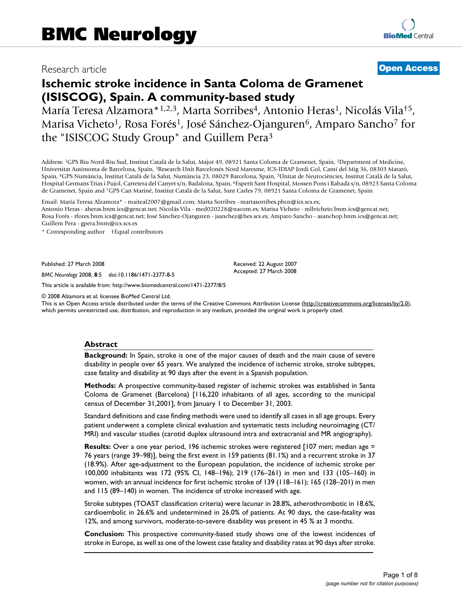# Research article **[Open Access](http://www.biomedcentral.com/info/about/charter/)**

# **Ischemic stroke incidence in Santa Coloma de Gramenet (ISISCOG), Spain. A community-based study**

María Teresa Alzamora \* 1,2,3, Marta Sorribes<sup>4</sup>, Antonio Heras<sup>1</sup>, Nicolás Vila<sup>†5</sup>, Marisa Vicheto<sup>1</sup>, Rosa Forés<sup>1</sup>, José Sánchez-Ojanguren<sup>6</sup>, Amparo Sancho<sup>7</sup> for the "ISISCOG Study Group" and Guillem Pera3

Address: 1GPS Riu Nord-Riu Sud, Institut Català de la Salut, Major 49, 08921 Santa Coloma de Gramenet, Spain, 2Department of Medicine, Universitat Autònoma de Barcelona, Spain, 3Research Unit Barcelonés Nord Maresme, ICS-IDIAP Jordi Gol, Camí del Mig 36, 08303 Mataró, Spain, 4GPS Numància, Institut Català de la Salut, Numància 23, 08029 Barcelona, Spain, 5Unitat de Neurociències, Institut Català de la Salut, Hospital Germans Trias i Pujol, Carretera del Canyet s/n, Badalona, Spain, 6Esperit Sant Hospital, Mossen Pons i Rabadà s/n, 08923 Santa Coloma de Gramenet, Spain and 7GPS Can Mariné, Institut Català de la Salut, Sant Carles 79, 08921 Santa Coloma de Gramenet, Spain

Email: María Teresa Alzamora\* - maiteal2007@gmail.com; Marta Sorribes - martasorribes.pbcn@ics.scs.es; Antonio Heras - aheras.bnm.ics@gencat.net; Nicolás Vila - med020228@nacom.es; Marisa Vicheto - mllvicheto.bnm.ics@gencat.net; Rosa Forés - rfores.bnm.ics@gencat.net; José Sánchez-Ojanguren - jsanchez@hes.scs.es; Amparo Sancho - asanchop.bnm.ics@gencat.net; Guillem Pera - gpera.bnm@ics.scs.es

\* Corresponding author †Equal contributors

Published: 27 March 2008

*BMC Neurology* 2008, **8**:5 doi:10.1186/1471-2377-8-5

[This article is available from: http://www.biomedcentral.com/1471-2377/8/5](http://www.biomedcentral.com/1471-2377/8/5)

© 2008 Alzamora et al; licensee BioMed Central Ltd.

This is an Open Access article distributed under the terms of the Creative Commons Attribution License [\(http://creativecommons.org/licenses/by/2.0\)](http://creativecommons.org/licenses/by/2.0), which permits unrestricted use, distribution, and reproduction in any medium, provided the original work is properly cited.

Received: 22 August 2007 Accepted: 27 March 2008

#### **Abstract**

**Background:** In Spain, stroke is one of the major causes of death and the main cause of severe disability in people over 65 years. We analyzed the incidence of ischemic stroke, stroke subtypes, case fatality and disability at 90 days after the event in a Spanish population.

**Methods:** A prospective community-based register of ischemic strokes was established in Santa Coloma de Gramenet (Barcelona) [116,220 inhabitants of all ages, according to the municipal census of December 31,2001], from January 1 to December 31, 2003.

Standard definitions and case finding methods were used to identify all cases in all age groups. Every patient underwent a complete clinical evaluation and systematic tests including neuroimaging (CT/ MRI) and vascular studies (carotid duplex ultrasound intra and extracranial and MR angiography).

**Results:** Over a one year period, 196 ischemic strokes were registered [107 men; median age = 76 years (range 39–98)], being the first event in 159 patients (81.1%) and a recurrent stroke in 37 (18.9%). After age-adjustment to the European population, the incidence of ischemic stroke per 100,000 inhabitants was 172 (95% CI, 148–196); 219 (176–261) in men and 133 (105–160) in women, with an annual incidence for first ischemic stroke of 139 (118–161); 165 (128–201) in men and 115 (89–140) in women. The incidence of stroke increased with age.

Stroke subtypes (TOAST classification criteria) were lacunar in 28.8%, atherothrombotic in 18.6%, cardioembolic in 26.6% and undetermined in 26.0% of patients. At 90 days, the case-fatality was 12%, and among survivors, moderate-to-severe disability was present in 45 % at 3 months.

**Conclusion:** This prospective community-based study shows one of the lowest incidences of stroke in Europe, as well as one of the lowest case fatality and disability rates at 90 days after stroke.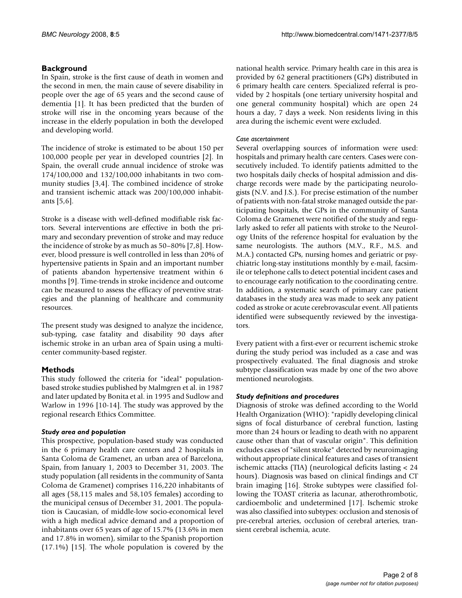# **Background**

In Spain, stroke is the first cause of death in women and the second in men, the main cause of severe disability in people over the age of 65 years and the second cause of dementia [1]. It has been predicted that the burden of stroke will rise in the oncoming years because of the increase in the elderly population in both the developed and developing world.

The incidence of stroke is estimated to be about 150 per 100,000 people per year in developed countries [2]. In Spain, the overall crude annual incidence of stroke was 174/100,000 and 132/100,000 inhabitants in two community studies [3,4]. The combined incidence of stroke and transient ischemic attack was 200/100,000 inhabitants [5,6].

Stroke is a disease with well-defined modifiable risk factors. Several interventions are effective in both the primary and secondary prevention of stroke and may reduce the incidence of stroke by as much as 50–80% [7,8]. However, blood pressure is well controlled in less than 20% of hypertensive patients in Spain and an important number of patients abandon hypertensive treatment within 6 months [9]. Time-trends in stroke incidence and outcome can be measured to assess the efficacy of preventive strategies and the planning of healthcare and community resources.

The present study was designed to analyze the incidence, sub-typing, case fatality and disability 90 days after ischemic stroke in an urban area of Spain using a multicenter community-based register.

# **Methods**

This study followed the criteria for "ideal" populationbased stroke studies published by Malmgren et al. in 1987 and later updated by Bonita et al. in 1995 and Sudlow and Warlow in 1996 [10-14]. The study was approved by the regional research Ethics Committee.

# *Study area and population*

This prospective, population-based study was conducted in the 6 primary health care centers and 2 hospitals in Santa Coloma de Gramenet, an urban area of Barcelona, Spain, from January 1, 2003 to December 31, 2003. The study population (all residents in the community of Santa Coloma de Gramenet) comprises 116,220 inhabitants of all ages (58,115 males and 58,105 females) according to the municipal census of December 31, 2001. The population is Caucasian, of middle-low socio-economical level with a high medical advice demand and a proportion of inhabitants over 65 years of age of 15.7% (13.6% in men and 17.8% in women), similar to the Spanish proportion (17.1%) [15]. The whole population is covered by the national health service. Primary health care in this area is provided by 62 general practitioners (GPs) distributed in 6 primary health care centers. Specialized referral is provided by 2 hospitals (one tertiary university hospital and one general community hospital) which are open 24 hours a day, 7 days a week. Non residents living in this area during the ischemic event were excluded.

# *Case ascertainment*

Several overlapping sources of information were used: hospitals and primary health care centers. Cases were consecutively included. To identify patients admitted to the two hospitals daily checks of hospital admission and discharge records were made by the participating neurologists (N.V. and J.S.). For precise estimation of the number of patients with non-fatal stroke managed outside the participating hospitals, the GPs in the community of Santa Coloma de Gramenet were notified of the study and regularly asked to refer all patients with stroke to the Neurology Units of the reference hospital for evaluation by the same neurologists. The authors (M.V., R.F., M.S. and M.A.) contacted GPs, nursing homes and geriatric or psychiatric long-stay institutions monthly by e-mail, facsimile or telephone calls to detect potential incident cases and to encourage early notification to the coordinating centre. In addition, a systematic search of primary care patient databases in the study area was made to seek any patient coded as stroke or acute cerebrovascular event. All patients identified were subsequently reviewed by the investigators.

Every patient with a first-ever or recurrent ischemic stroke during the study period was included as a case and was prospectively evaluated. The final diagnosis and stroke subtype classification was made by one of the two above mentioned neurologists.

# *Study definitions and procedures*

Diagnosis of stroke was defined according to the World Health Organization (WHO): "rapidly developing clinical signs of focal disturbance of cerebral function, lasting more than 24 hours or leading to death with no apparent cause other than that of vascular origin". This definition excludes cases of "silent stroke" detected by neuroimaging without appropriate clinical features and cases of transient ischemic attacks (TIA) (neurological deficits lasting < 24 hours). Diagnosis was based on clinical findings and CT brain imaging [16]. Stroke subtypes were classified following the TOAST criteria as lacunar, atherothrombotic, cardioembolic and undetermined [17]. Ischemic stroke was also classified into subtypes: occlusion and stenosis of pre-cerebral arteries, occlusion of cerebral arteries, transient cerebral ischemia, acute.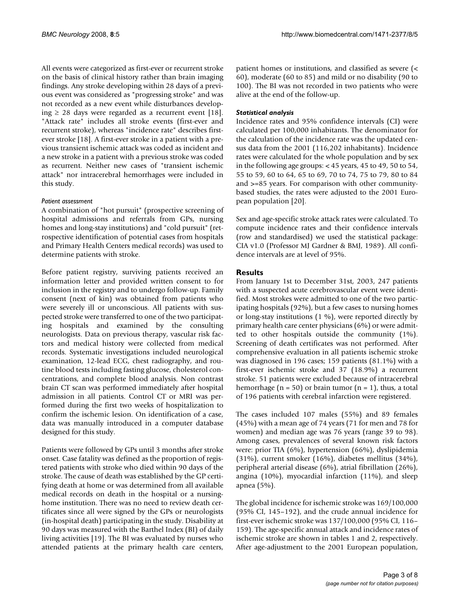All events were categorized as first-ever or recurrent stroke on the basis of clinical history rather than brain imaging findings. Any stroke developing within 28 days of a previous event was considered as "progressing stroke" and was not recorded as a new event while disturbances developing  $\geq$  28 days were regarded as a recurrent event [18]. "Attack rate" includes all stroke events (first-ever and recurrent stroke), whereas "incidence rate" describes firstever stroke [18]. A first-ever stroke in a patient with a previous transient ischemic attack was coded as incident and a new stroke in a patient with a previous stroke was coded as recurrent. Neither new cases of "transient ischemic attack" nor intracerebral hemorrhages were included in this study.

#### *Patient assessment*

A combination of "hot pursuit" (prospective screening of hospital admissions and referrals from GPs, nursing homes and long-stay institutions) and "cold pursuit" (retrospective identification of potential cases from hospitals and Primary Health Centers medical records) was used to determine patients with stroke.

Before patient registry, surviving patients received an information letter and provided written consent to for inclusion in the registry and to undergo follow-up. Family consent (next of kin) was obtained from patients who were severely ill or unconscious. All patients with suspected stroke were transferred to one of the two participating hospitals and examined by the consulting neurologists. Data on previous therapy, vascular risk factors and medical history were collected from medical records. Systematic investigations included neurological examination, 12-lead ECG, chest radiography, and routine blood tests including fasting glucose, cholesterol concentrations, and complete blood analysis. Non contrast brain CT scan was performed immediately after hospital admission in all patients. Control CT or MRI was performed during the first two weeks of hospitalization to confirm the ischemic lesion. On identification of a case, data was manually introduced in a computer database designed for this study.

Patients were followed by GPs until 3 months after stroke onset. Case fatality was defined as the proportion of registered patients with stroke who died within 90 days of the stroke. The cause of death was established by the GP certifying death at home or was determined from all available medical records on death in the hospital or a nursinghome institution. There was no need to review death certificates since all were signed by the GPs or neurologists (in-hospital death) participating in the study. Disability at 90 days was measured with the Barthel Index (BI) of daily living activities [19]. The BI was evaluated by nurses who attended patients at the primary health care centers,

patient homes or institutions, and classified as severe (< 60), moderate (60 to 85) and mild or no disability (90 to 100). The BI was not recorded in two patients who were alive at the end of the follow-up.

### *Statistical analysis*

Incidence rates and 95% confidence intervals (CI) were calculated per 100,000 inhabitants. The denominator for the calculation of the incidence rate was the updated census data from the 2001 (116,202 inhabitants). Incidence rates were calculated for the whole population and by sex in the following age groups: < 45 years, 45 to 49, 50 to 54, 55 to 59, 60 to 64, 65 to 69, 70 to 74, 75 to 79, 80 to 84 and >=85 years. For comparison with other communitybased studies, the rates were adjusted to the 2001 European population [20].

Sex and age-specific stroke attack rates were calculated. To compute incidence rates and their confidence intervals (row and standardised) we used the statistical package: CIA v1.0 (Professor MJ Gardner & BMJ, 1989). All confidence intervals are at level of 95%.

## **Results**

From January 1st to December 31st, 2003, 247 patients with a suspected acute cerebrovascular event were identified. Most strokes were admitted to one of the two participating hospitals (92%), but a few cases to nursing homes or long-stay institutions (1 %), were reported directly by primary health care center physicians (6%) or were admitted to other hospitals outside the community (1%). Screening of death certificates was not performed. After comprehensive evaluation in all patients ischemic stroke was diagnosed in 196 cases; 159 patients (81.1%) with a first-ever ischemic stroke and 37 (18.9%) a recurrent stroke. 51 patients were excluded because of intracerebral hemorrhage ( $n = 50$ ) or brain tumor ( $n = 1$ ), thus, a total of 196 patients with cerebral infarction were registered.

The cases included 107 males (55%) and 89 females (45%) with a mean age of 74 years (71 for men and 78 for women) and median age was 76 years (range 39 to 98). Among cases, prevalences of several known risk factors were: prior TIA (6%), hypertension (66%), dyslipidemia (31%), current smoker (16%), diabetes mellitus (34%), peripheral arterial disease (6%), atrial fibrillation (26%), angina (10%), myocardial infarction (11%), and sleep apnea (5%).

The global incidence for ischemic stroke was 169/100,000 (95% CI, 145–192), and the crude annual incidence for first-ever ischemic stroke was 137/100,000 (95% CI, 116– 159). The age-specific annual attack and incidence rates of ischemic stroke are shown in tables 1 and 2, respectively. After age-adjustment to the 2001 European population,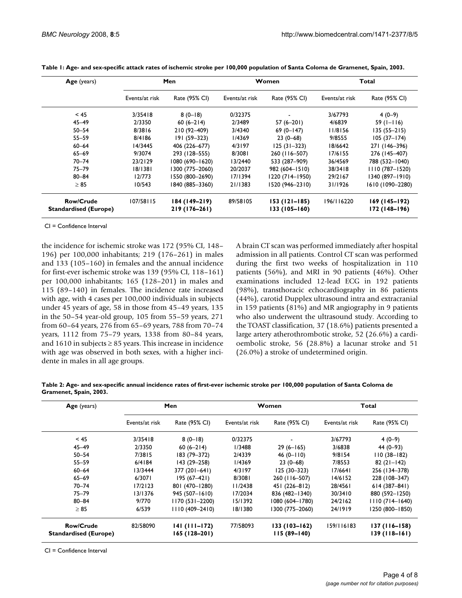| Age (years)                  | <b>Men</b>     |                 |                | Women           | Total          |                    |  |
|------------------------------|----------------|-----------------|----------------|-----------------|----------------|--------------------|--|
|                              | Events/at risk | Rate (95% CI)   | Events/at risk | Rate (95% CI)   | Events/at risk | Rate (95% CI)      |  |
| < 45                         | 3/35418        | $8(0-18)$       | 0/32375        |                 | 3/67793        | $4(0-9)$           |  |
| $45 - 49$                    | 2/3350         | $60(6-214)$     | 2/3489         | $57(6-201)$     | 4/6839         | $59$ (1-116)       |  |
| $50 - 54$                    | 8/3816         | 210 (92-409)    | 3/4340         | $69(0-147)$     | 11/8156        | $135(55 - 215)$    |  |
| $55 - 59$                    | 8/4186         | $191(59 - 323)$ | 1/4369         | $23(0-68)$      | 9/8555         | $105(37-174)$      |  |
| $60 - 64$                    | 14/3445        | 406 (226-677)   | 4/3197         | $125(31-323)$   | 18/6642        | 271 (146-396)      |  |
| $65 - 69$                    | 9/3074         | 293 (128-555)   | 8/3081         | 260 (116-507)   | 17/6155        | 276 (145–407)      |  |
| $70 - 74$                    | 23/2129        | 1080 (690-1620) | 13/2440        | 533 (287-909)   | 36/4569        | 788 (532-1040)     |  |
| $75 - 79$                    | 18/1381        | 1300 (775-2060) | 20/2037        | 982 (604-1510)  | 38/3418        | $1110(787 - 1520)$ |  |
| $80 - 84$                    | 12/773         | 1550 (800-2690) | 17/1394        | 1220 (714-1950) | 29/2167        | 1340 (897-1910)    |  |
| $\geq 85$                    | 10/543         | 1840 (885-3360) | 21/1383        | 1520 (946-2310) | 31/1926        | 1610 (1090-2280)   |  |
| <b>Row/Crude</b>             | 107/58115      | 184 (149–219)   | 89/58105       | $153(121-185)$  | 196/116220     | $169(145 - 192)$   |  |
| <b>Standardised (Europe)</b> |                | 219 (176–261)   |                | 133 (105–160)   |                | 172 (148–196)      |  |

**Table 1: Age- and sex-specific attack rates of ischemic stroke per 100,000 population of Santa Coloma de Gramenet, Spain, 2003.**

CI = Confidence Interval

the incidence for ischemic stroke was 172 (95% CI, 148– 196) per 100,000 inhabitants; 219 (176–261) in males and 133 (105–160) in females and the annual incidence for first-ever ischemic stroke was 139 (95% CI, 118–161) per 100,000 inhabitants; 165 (128–201) in males and 115 (89–140) in females. The incidence rate increased with age, with 4 cases per 100,000 individuals in subjects under 45 years of age, 58 in those from 45–49 years, 135 in the 50–54 year-old group, 105 from 55–59 years, 271 from 60–64 years, 276 from 65–69 years, 788 from 70–74 years, 1112 from 75–79 years, 1338 from 80–84 years, and 1610 in subjects ≥ 85 years. This increase in incidence with age was observed in both sexes, with a higher incidente in males in all age groups.

A brain CT scan was performed immediately after hospital admission in all patients. Control CT scan was performed during the first two weeks of hospitalization in 110 patients (56%), and MRI in 90 patients (46%). Other examinations included 12-lead ECG in 192 patients (98%), transthoracic echocardiography in 86 patients (44%), carotid Dupplex ultrasound intra and extracranial in 159 patients (81%) and MR angiography in 9 patients who also underwent the ultrasound study. According to the TOAST classification, 37 (18.6%) patients presented a large artery atherothrombotic stroke, 52 (26.6%) a cardioembolic stroke, 56 (28.8%) a lacunar stroke and 51 (26.0%) a stroke of undetermined origin.

| Table 2: Age- and sex-specific annual incidence rates of first-ever ischemic stroke per 100,000 population of Santa Coloma de |  |  |
|-------------------------------------------------------------------------------------------------------------------------------|--|--|
| Gramenet, Spain, 2003.                                                                                                        |  |  |

| Age (years)                  | Men            |                    |                | Women           | Total          |                  |  |
|------------------------------|----------------|--------------------|----------------|-----------------|----------------|------------------|--|
|                              | Events/at risk | Rate (95% CI)      | Events/at risk | Rate (95% CI)   | Events/at risk | Rate (95% CI)    |  |
| < 45                         | 3/35418        | $8(0-18)$          | 0/32375        |                 | 3/67793        | $4(0-9)$         |  |
| $45 - 49$                    | 2/3350         | $60(6-214)$        | 1/3488         | $29(6 - 165)$   | 3/6838         | 44 (0-93)        |  |
| $50 - 54$                    | 7/3815         | 183 (79–372)       | 2/4339         | $46(0-110)$     | 9/8154         | $110(38-182)$    |  |
| $55 - 59$                    | 6/4184         | 143 (29-258)       | 1/4369         | $23(0-68)$      | 7/8553         | $82(21-142)$     |  |
| $60 - 64$                    | 13/3444        | 377 (201-641)      | 4/3197         | $125(30-323)$   | 17/6641        | 256 (134-378)    |  |
| $65 - 69$                    | 6/3071         | $195(67-421)$      | 8/3081         | 260 (116-507)   | 14/6152        | 228 (108-347)    |  |
| $70 - 74$                    | 17/2123        | 801 (470-1280)     | 11/2438        | 451 (226-812)   | 28/4561        | 614 (387-841)    |  |
| $75 - 79$                    | 13/1376        | 945 (507-1610)     | 17/2034        | 836 (482-1340)  | 30/3410        | 880 (592-1250)   |  |
| $80 - 84$                    | 9/770          | $1170(531 - 2200)$ | 15/1392        | 1080 (604-1780) | 24/2162        | $1110(714-1640)$ |  |
| $\geq 85$                    | 6/539          | $1110(409 - 2410)$ | 18/1380        | 1300 (775-2060) | 24/1919        | 1250 (800-1850)  |  |
| <b>Row/Crude</b>             | 82/58090       | $141 (111 - 172)$  | 77/58093       | 133 (103–162)   | 159/116183     | $137(116 - 158)$ |  |
| <b>Standardised (Europe)</b> |                | 165 (128-201)      |                | $115(89-140)$   |                | $139(118 - 161)$ |  |

CI = Confidence Interval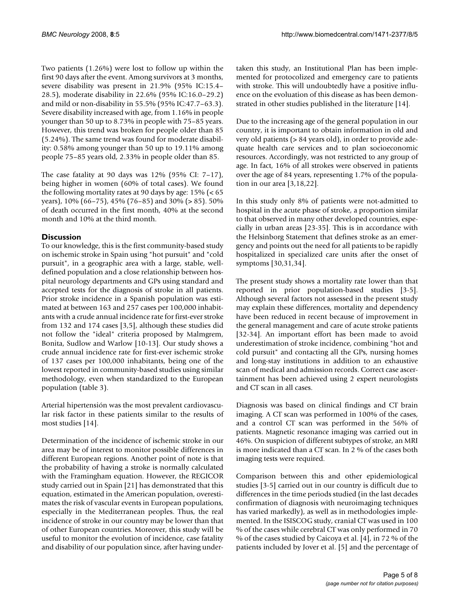Two patients (1.26%) were lost to follow up within the first 90 days after the event. Among survivors at 3 months, severe disability was present in 21.9% (95% IC:15.4– 28.5), moderate disability in 22.6% (95% IC:16.0–29.2) and mild or non-disability in 55.5% (95% IC:47.7–63.3). Severe disability increased with age, from 1.16% in people younger than 50 up to 8.73% in people with 75–85 years. However, this trend was broken for people older than 85 (5.24%). The same trend was found for moderate disability: 0.58% among younger than 50 up to 19.11% among people 75–85 years old, 2.33% in people older than 85.

The case fatality at 90 days was  $12\%$  (95% CI: 7–17), being higher in women (60% of total cases). We found the following mortality rates at 90 days by age: 15% (< 65 years), 10% (66–75), 45% (76–85) and 30% (> 85). 50% of death occurred in the first month, 40% at the second month and 10% at the third month.

# **Discussion**

To our knowledge, this is the first community-based study on ischemic stroke in Spain using "hot pursuit" and "cold pursuit", in a geographic area with a large, stable, welldefined population and a close relationship between hospital neurology departments and GPs using standard and accepted tests for the diagnosis of stroke in all patients. Prior stroke incidence in a Spanish population was estimated at between 163 and 257 cases per 100,000 inhabitants with a crude annual incidence rate for first-ever stroke from 132 and 174 cases [3,5], although these studies did not follow the "ideal" criteria proposed by Malmgrem, Bonita, Sudlow and Warlow [10-13]. Our study shows a crude annual incidence rate for first-ever ischemic stroke of 137 cases per 100,000 inhabitants, being one of the lowest reported in community-based studies using similar methodology, even when standardized to the European population (table 3).

Arterial hipertensión was the most prevalent cardiovascular risk factor in these patients similar to the results of most studies [14].

Determination of the incidence of ischemic stroke in our area may be of interest to monitor possible differences in different European regions. Another point of note is that the probability of having a stroke is normally calculated with the Framingham equation. However, the REGICOR study carried out in Spain [21] has demonstrated that this equation, estimated in the American population, overestimates the risk of vascular events in European populations, especially in the Mediterranean peoples. Thus, the real incidence of stroke in our country may be lower than that of other European countries. Moreover, this study will be useful to monitor the evolution of incidence, case fatality and disability of our population since, after having undertaken this study, an Institutional Plan has been implemented for protocolized and emergency care to patients with stroke. This will undoubtedly have a positive influence on the evoluation of this disease as has been demonstrated in other studies published in the literature [14].

Due to the increasing age of the general population in our country, it is important to obtain information in old and very old patients (> 84 years old), in order to provide adequate health care services and to plan socioeconomic resources. Accordingly, was not restricted to any group of age. In fact, 16% of all strokes were observed in patients over the age of 84 years, representing 1.7% of the population in our area [3,18,22].

In this study only 8% of patients were not-admitted to hospital in the acute phase of stroke, a proportion similar to that observed in many other developed countries, especially in urban areas [23-35]. This is in accordance with the Helsinborg Statement that defines stroke as an emergency and points out the need for all patients to be rapidly hospitalized in specialized care units after the onset of symptoms [30,31,34].

The present study shows a mortality rate lower than that reported in prior population-based studies [3-5]. Although several factors not assessed in the present study may explain these differences, mortality and dependency have been reduced in recent because of improvement in the general management and care of acute stroke patients [32-34]. An important effort has been made to avoid underestimation of stroke incidence, combining "hot and cold pursuit" and contacting all the GPs, nursing homes and long-stay institutions in addition to an exhaustive scan of medical and admission records. Correct case ascertainment has been achieved using 2 expert neurologists and CT scan in all cases.

Diagnosis was based on clinical findings and CT brain imaging. A CT scan was performed in 100% of the cases, and a control CT scan was performed in the 56% of patients. Magnetic resonance imaging was carried out in 46%. On suspicion of different subtypes of stroke, an MRI is more indicated than a CT scan. In 2 % of the cases both imaging tests were required.

Comparison between this and other epidemiological studies [3-5] carried out in our country is difficult due to differences in the time periods studied (in the last decades confirmation of diagnosis with neuroimaging techniques has varied markedly), as well as in methodologies implemented. In the ISISCOG study, cranial CT was used in 100 % of the cases while cerebral CT was only performed in 70 % of the cases studied by Caicoya et al. [4], in 72 % of the patients included by Jover et al. [5] and the percentage of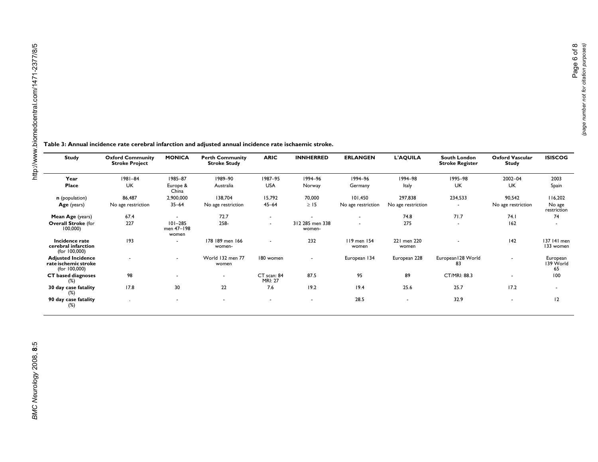| <b>Study</b>                                                       | <b>Oxford Community</b><br><b>Stroke Project</b> | <b>MONICA</b>                      | <b>Perth Community</b><br><b>Stroke Study</b> | <b>ARIC</b>                   | <b>INNHERRED</b>          | <b>ERLANGEN</b>       | <b>L'AQUILA</b>      | <b>South London</b><br><b>Stroke Register</b> | <b>Oxford Vascular</b><br><b>Study</b> | <b>ISISCOG</b>              |
|--------------------------------------------------------------------|--------------------------------------------------|------------------------------------|-----------------------------------------------|-------------------------------|---------------------------|-----------------------|----------------------|-----------------------------------------------|----------------------------------------|-----------------------------|
| Year                                                               | $1981 - 84$                                      | 1985-87                            | 1989-90                                       | 1987-95                       | 1994-96                   | 1994-96               | 1994-98              | 1995-98                                       | $2002 - 04$                            | 2003                        |
| Place                                                              | <b>UK</b>                                        | Europe &<br>China                  | Australia                                     | <b>USA</b>                    | Norway                    | Germany               | Italy                | <b>UK</b>                                     | <b>UK</b>                              | Spain                       |
| n (population)                                                     | 86,487                                           | 2,900,000                          | 138,704                                       | 15,792                        | 70,000                    | 101.450               | 297,838              | 234,533                                       | 90,542                                 | 116.202                     |
| Age (years)                                                        | No age restriction                               | $35 - 64$                          | No age restriction                            | $45 - 64$                     | $\geq$ 15                 | No age restriction    | No age restriction   | $\blacksquare$                                | No age restriction                     | No age<br>restriction       |
| Mean Age (years)                                                   | 67.4                                             | $\sim$                             | 72.7                                          | $\sim$                        |                           | $\tilde{\phantom{a}}$ | 74.8                 | 71.7                                          | 74.1                                   | 74                          |
| <b>Overall Stroke (for</b><br>100,000                              | 227                                              | $101 - 285$<br>men 47-198<br>women | 258-                                          | $\sim$                        | 312 285 men 338<br>women- | $\sim$                | 275                  | $\overline{\phantom{a}}$                      | 162                                    | $\sim$                      |
| Incidence rate<br>cerebral infarction<br>(for 100,000)             | 193                                              |                                    | 178 189 men 166<br>women-                     |                               | 232                       | 119 men 154<br>women  | 221 men 220<br>women |                                               | 142                                    | 137 141 men<br>133 women    |
| <b>Adjusted Incidence</b><br>rate ischemic stroke<br>(for 100,000) |                                                  | $\sim$                             | World 132 men 77<br>women                     | 180 women                     |                           | European 134          | European 228         | European 128 World<br>83                      |                                        | European<br>139 World<br>65 |
| <b>CT</b> based diagnoses<br>$(\%)$                                | 98                                               | $\overline{\phantom{a}}$           | $\sim$                                        | CT scan: 84<br><b>MRI: 27</b> | 87.5                      | 95                    | 89                   | CT/MRI: 88.3                                  |                                        | 100                         |
| 30 day case fatality<br>$(\%)$                                     | 17.8                                             | 30                                 | 22                                            | 7.6                           | 19.2                      | 19.4                  | 25.6                 | 25.7                                          | 17.2                                   | $\overline{\phantom{a}}$    |
| 90 day case fatality<br>$(\%)$                                     |                                                  |                                    |                                               | $\sim$                        | $\sim$                    | 28.5                  | $\sim$               | 32.9                                          |                                        | 12                          |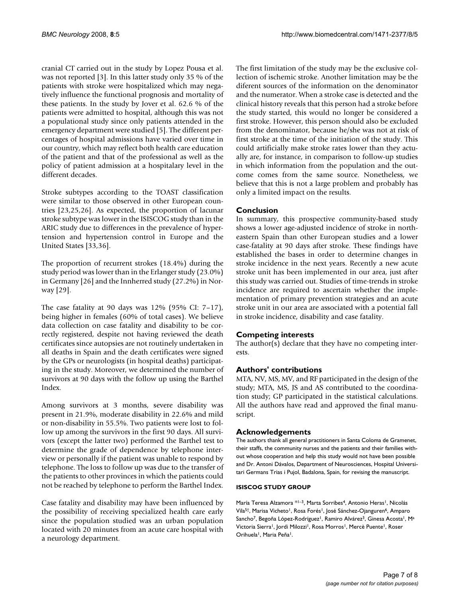cranial CT carried out in the study by Lopez Pousa et al. was not reported [3]. In this latter study only 35 % of the patients with stroke were hospitalized which may negatively influence the functional prognosis and mortality of these patients. In the study by Jover et al. 62.6 % of the patients were admitted to hospital, although this was not a populational study since only patients attended in the emergency department were studied [5]. The different percentages of hospital admissions have varied over time in our country, which may reflect both health care education of the patient and that of the professional as well as the policy of patient admission at a hospitalary level in the different decades.

Stroke subtypes according to the TOAST classification were similar to those observed in other European countries [23,25,26]. As expected, the proportion of lacunar stroke subtype was lower in the ISISCOG study than in the ARIC study due to differences in the prevalence of hypertension and hypertension control in Europe and the United States [33,36].

The proportion of recurrent strokes (18.4%) during the study period was lower than in the Erlanger study (23.0%) in Germany [26] and the Innherred study (27.2%) in Norway [29].

The case fatality at 90 days was 12% (95% CI: 7–17), being higher in females (60% of total cases). We believe data collection on case fatality and disability to be correctly registered, despite not having reviewed the death certificates since autopsies are not routinely undertaken in all deaths in Spain and the death certificates were signed by the GPs or neurologists (in hospital deaths) participating in the study. Moreover, we determined the number of survivors at 90 days with the follow up using the Barthel Index.

Among survivors at 3 months, severe disability was present in 21.9%, moderate disability in 22.6% and mild or non-disability in 55.5%. Two patients were lost to follow up among the survivors in the first 90 days. All survivors (except the latter two) performed the Barthel test to determine the grade of dependence by telephone interview or personally if the patient was unable to respond by telephone. The loss to follow up was due to the transfer of the patients to other provinces in which the patients could not be reached by telephone to perform the Barthel Index.

Case fatality and disability may have been influenced by the possibility of receiving specialized health care early since the population studied was an urban population located with 20 minutes from an acute care hospital with a neurology department.

The first limitation of the study may be the exclusive collection of ischemic stroke. Another limitation may be the diferent sources of the information on the denominator and the numerator. When a stroke case is detected and the clinical history reveals that this person had a stroke before the study started, this would no longer be considered a first stroke. However, this person should also be excluded from the denominator, because he/she was not at risk of first stroke at the time of the initiation of the study. This could artificially make stroke rates lower than they actually are, for instance, in comparison to follow-up studies in which information from the population and the outcome comes from the same source. Nonetheless, we believe that this is not a large problem and probably has only a limited impact on the results.

### **Conclusion**

In summary, this prospective community-based study shows a lower age-adjusted incidence of stroke in northeastern Spain than other European studies and a lower case-fatality at 90 days after stroke. These findings have established the bases in order to determine changes in stroke incidence in the next years. Recently a new acute stroke unit has been implemented in our area, just after this study was carried out. Studies of time-trends in stroke incidence are required to ascertain whether the implementation of primary prevention strategies and an acute stroke unit in our area are associated with a potential fall in stroke incidence, disability and case fatality.

### **Competing interests**

The author(s) declare that they have no competing interests.

### **Authors' contributions**

MTA, NV, MS, MV, and RF participated in the design of the study; MTA, MS, JS and AS contributed to the coordination study; GP participated in the statistical calculations. All the authors have read and approved the final manuscript.

### **Acknowledgements**

The authors thank all general practitioners in Santa Coloma de Gramenet, their staffs, the community nurses and the patients and their families without whose cooperation and help this study would not have been possible and Dr. Antoni Dávalos, Department of Neurosciences, Hospital Universitari Germans Trias i Pujol, Badalona, Spain, for revising the manuscript.

#### **ISISCOG STUDY GROUP**

María Teresa Alzamora \*1-3, Marta Sorribes<sup>4</sup>, Antonio Heras<sup>1</sup>, Nicolás Vila<sup>5†</sup>, Marisa Vicheto<sup>1</sup>, Rosa Forés<sup>1</sup>, José Sánchez-Ojanguren<sup>6</sup>, Amparo Sancho<sup>7</sup>, Begoña López-Rodríguez<sup>1</sup>, Ramiro Alvárez<sup>3</sup>, Ginesa Acosta<sup>1</sup>, M<sup>a</sup> Victoria Sierra<sup>1</sup>, Jordi Milozzi<sup>1</sup>, Rosa Morros<sup>1</sup>, Mercè Puente<sup>1</sup>, Roser Orihuela<sup>1</sup>, Maria Peña<sup>1</sup>.